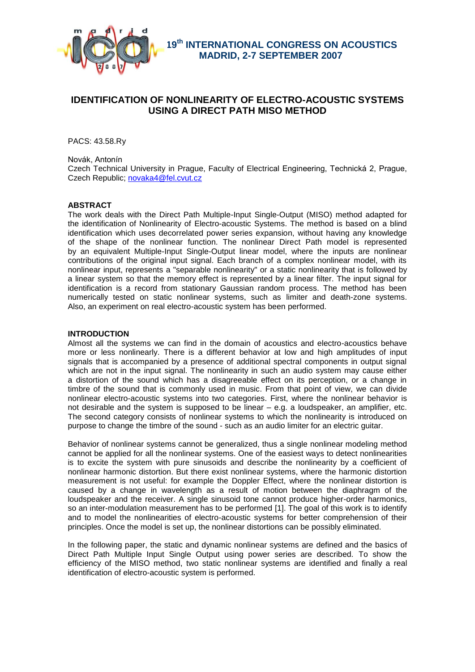

 **19th INTERNATIONAL CONGRESS ON ACOUSTICS MADRID, 2-7 SEPTEMBER 2007**

# **IDENTIFICATION OF NONLINEARITY OF ELECTRO-ACOUSTIC SYSTEMS USING A DIRECT PATH MISO METHOD**

PACS: 43.58.Ry

Novák, Antonín

Czech Technical University in Prague, Faculty of Electrical Engineering, Technická 2, Prague, Czech Republic; [novaka4@fel.cvut.cz](mailto:novaka4@fel.cvut.cz)

# **ABSTRACT**

The work deals with the Direct Path Multiple-Input Single-Output (MISO) method adapted for the identification of Nonlinearity of Electro-acoustic Systems. The method is based on a blind identification which uses decorrelated power series expansion, without having any knowledge of the shape of the nonlinear function. The nonlinear Direct Path model is represented by an equivalent Multiple-Input Single-Output linear model, where the inputs are nonlinear contributions of the original input signal. Each branch of a complex nonlinear model, with its nonlinear input, represents a "separable nonlinearity" or a static nonlinearity that is followed by a linear system so that the memory effect is represented by a linear filter. The input signal for identification is a record from stationary Gaussian random process. The method has been numerically tested on static nonlinear systems, such as limiter and death-zone systems. Also, an experiment on real electro-acoustic system has been performed.

### **INTRODUCTION**

Almost all the systems we can find in the domain of acoustics and electro-acoustics behave more or less nonlinearly. There is a different behavior at low and high amplitudes of input signals that is accompanied by a presence of additional spectral components in output signal which are not in the input signal. The nonlinearity in such an audio system may cause either a distortion of the sound which has a disagreeable effect on its perception, or a change in timbre of the sound that is commonly used in music. From that point of view, we can divide nonlinear electro-acoustic systems into two categories. First, where the nonlinear behavior is not desirable and the system is supposed to be linear – e.g. a loudspeaker, an amplifier, etc. The second category consists of nonlinear systems to which the nonlinearity is introduced on purpose to change the timbre of the sound - such as an audio limiter for an electric guitar.

Behavior of nonlinear systems cannot be generalized, thus a single nonlinear modeling method cannot be applied for all the nonlinear systems. One of the easiest ways to detect nonlinearities is to excite the system with pure sinusoids and describe the nonlinearity by a coefficient of nonlinear harmonic distortion. But there exist nonlinear systems, where the harmonic distortion measurement is not useful: for example the Doppler Effect, where the nonlinear distortion is caused by a change in wavelength as a result of motion between the diaphragm of the loudspeaker and the receiver. A single sinusoid tone cannot produce higher-order harmonics, so an inter-modulation measurement has to be performed [1]. The goal of this work is to identify and to model the nonlinearities of electro-acoustic systems for better comprehension of their principles. Once the model is set up, the nonlinear distortions can be possibly eliminated.

In the following paper, the static and dynamic nonlinear systems are defined and the basics of Direct Path Multiple Input Single Output using power series are described. To show the efficiency of the MISO method, two static nonlinear systems are identified and finally a real identification of electro-acoustic system is performed.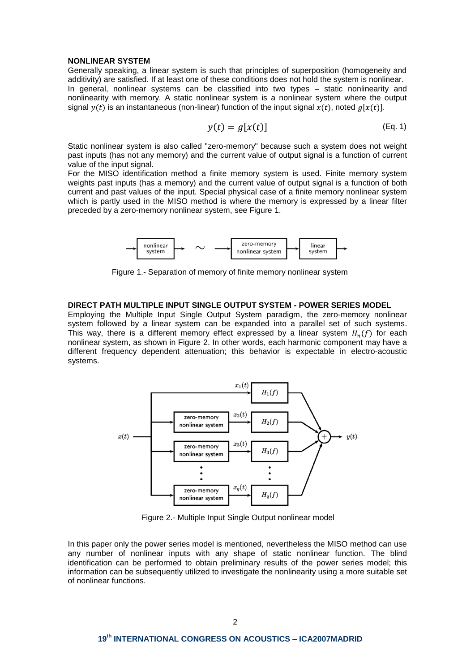#### **NONLINEAR SYSTEM**

Generally speaking, a linear system is such that principles of superposition (homogeneity and additivity) are satisfied. If at least one of these conditions does not hold the system is nonlinear. In general, nonlinear systems can be classified into two types – static nonlinearity and nonlinearity with memory. A static nonlinear system is a nonlinear system where the output signal  $y(t)$  is an instantaneous (non-linear) function of the input signal  $x(t)$ , noted  $g[x(t)]$ .

$$
y(t) = g[x(t)] \tag{Eq. 1}
$$

Static nonlinear system is also called "zero-memory" because such a system does not weight past inputs (has not any memory) and the current value of output signal is a function of current value of the input signal.

For the MISO identification method a finite memory system is used. Finite memory system weights past inputs (has a memory) and the current value of output signal is a function of both current and past values of the input. Special physical case of a finite memory nonlinear system which is partly used in the MISO method is where the memory is expressed by a linear filter preceded by a zero-memory nonlinear system, see Figure 1.



Figure 1.- Separation of memory of finite memory nonlinear system

# **DIRECT PATH MULTIPLE INPUT SINGLE OUTPUT SYSTEM - POWER SERIES MODEL**

Employing the Multiple Input Single Output System paradigm, the zero-memory nonlinear system followed by a linear system can be expanded into a parallel set of such systems. This way, there is a different memory effect expressed by a linear system  $H_n(f)$  for each nonlinear system, as shown in Figure 2. In other words, each harmonic component may have a different frequency dependent attenuation; this behavior is expectable in electro-acoustic systems.



Figure 2.- Multiple Input Single Output nonlinear model

In this paper only the power series model is mentioned, nevertheless the MISO method can use any number of nonlinear inputs with any shape of static nonlinear function. The blind identification can be performed to obtain preliminary results of the power series model; this information can be subsequently utilized to investigate the nonlinearity using a more suitable set of nonlinear functions.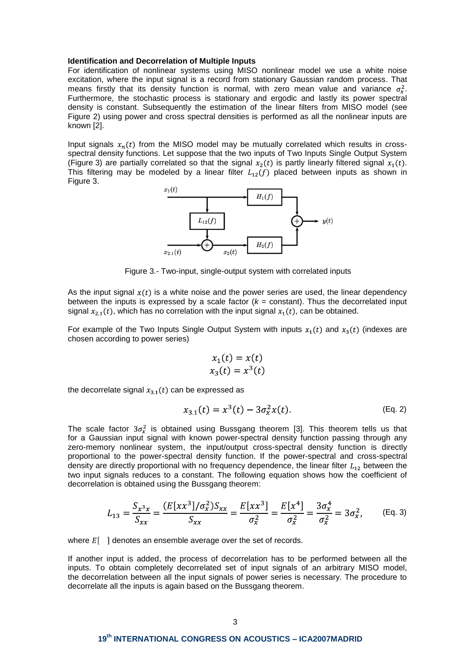#### **Identification and Decorrelation of Multiple Inputs**

For identification of nonlinear systems using MISO nonlinear model we use a white noise excitation, where the input signal is a record from stationary Gaussian random process. That means firstly that its density function is normal, with zero mean value and variance  $\sigma_x^2$ . Furthermore, the stochastic process is stationary and ergodic and lastly its power spectral density is constant. Subsequently the estimation of the linear filters from MISO model (see Figure 2) using power and cross spectral densities is performed as all the nonlinear inputs are known [2].

Input signals  $x_n(t)$  from the MISO model may be mutually correlated which results in crossspectral density functions. Let suppose that the two inputs of Two Inputs Single Output System (Figure 3) are partially correlated so that the signal  $x<sub>2</sub>(t)$  is partly linearly filtered signal  $x<sub>1</sub>(t)$ . This filtering may be modeled by a linear filter  $L_{12}(f)$  placed between inputs as shown in Figure 3.



Figure 3.- Two-input, single-output system with correlated inputs

As the input signal  $x(t)$  is a white noise and the power series are used, the linear dependency between the inputs is expressed by a scale factor  $(k = constant)$ . Thus the decorrelated input signal  $x_{2,1}(t)$ , which has no correlation with the input signal  $x_1(t)$ , can be obtained.

For example of the Two Inputs Single Output System with inputs  $x_1(t)$  and  $x_3(t)$  (indexes are chosen according to power series)

$$
x_1(t) = x(t)
$$
  

$$
x_3(t) = x^3(t)
$$

the decorrelate signal  $x_{3,1}(t)$  can be expressed as

$$
x_{3.1}(t) = x^3(t) - 3\sigma_x^2 x(t).
$$
 (Eq. 2)

The scale factor  $3\sigma_x^2$  is obtained using Bussgang theorem [3]. This theorem tells us that for a Gaussian input signal with known power-spectral density function passing through any zero-memory nonlinear system, the input/output cross-spectral density function is directly proportional to the power-spectral density function. If the power-spectral and cross-spectral density are directly proportional with no frequency dependence, the linear filter  $L_{12}$  between the two input signals reduces to a constant. The following equation shows how the coefficient of decorrelation is obtained using the Bussgang theorem:

$$
L_{13} = \frac{S_{x^3x}}{S_{xx}} = \frac{(E[xx^3]/\sigma_x^2)S_{xx}}{S_{xx}} = \frac{E[xx^3]}{\sigma_x^2} = \frac{E[x^4]}{\sigma_x^2} = \frac{3\sigma_x^4}{\sigma_x^2} = 3\sigma_x^2, \qquad \text{(Eq. 3)}
$$

where  $E$ [ ] denotes an ensemble average over the set of records.

If another input is added, the process of decorrelation has to be performed between all the inputs. To obtain completely decorrelated set of input signals of an arbitrary MISO model, the decorrelation between all the input signals of power series is necessary. The procedure to decorrelate all the inputs is again based on the Bussgang theorem.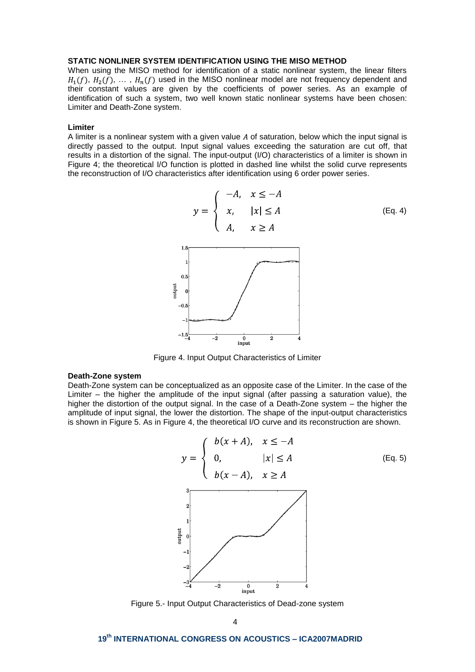# **STATIC NONLINER SYSTEM IDENTIFICATION USING THE MISO METHOD**

When using the MISO method for identification of a static nonlinear system, the linear filters  $H_1(f)$ ,  $H_2(f)$ , ...,  $H_n(f)$  used in the MISO nonlinear model are not frequency dependent and their constant values are given by the coefficients of power series. As an example of identification of such a system, two well known static nonlinear systems have been chosen: Limiter and Death-Zone system.

#### **Limiter**

A limiter is a nonlinear system with a given value  $A$  of saturation, below which the input signal is directly passed to the output. Input signal values exceeding the saturation are cut off, that results in a distortion of the signal. The input-output (I/O) characteristics of a limiter is shown in Figure 4; the theoretical I/O function is plotted in dashed line whilst the solid curve represents the reconstruction of I/O characteristics after identification using 6 order power series.



Figure 4. Input Output Characteristics of Limiter

#### **Death-Zone system**

Death-Zone system can be conceptualized as an opposite case of the Limiter. In the case of the Limiter – the higher the amplitude of the input signal (after passing a saturation value), the higher the distortion of the output signal. In the case of a Death-Zone system – the higher the amplitude of input signal, the lower the distortion. The shape of the input-output characteristics is shown in Figure 5. As in Figure 4, the theoretical I/O curve and its reconstruction are shown.



Figure 5.- Input Output Characteristics of Dead-zone system

# **19th INTERNATIONAL CONGRESS ON ACOUSTICS – ICA2007MADRID**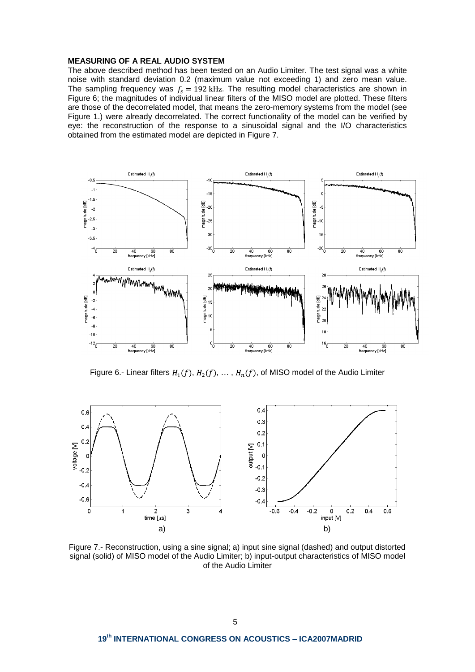## **MEASURING OF A REAL AUDIO SYSTEM**

The above described method has been tested on an Audio Limiter. The test signal was a white noise with standard deviation 0.2 (maximum value not exceeding 1) and zero mean value. The sampling frequency was  $f_s = 192$  kHz. The resulting model characteristics are shown in Figure 6; the magnitudes of individual linear filters of the MISO model are plotted. These filters are those of the decorrelated model, that means the zero-memory systems from the model (see Figure 1.) were already decorrelated. The correct functionality of the model can be verified by eye: the reconstruction of the response to a sinusoidal signal and the I/O characteristics obtained from the estimated model are depicted in Figure 7.



Figure 6.- Linear filters  $H_1(f)$ ,  $H_2(f)$ , ...,  $H_n(f)$ , of MISO model of the Audio Limiter



Figure 7.- Reconstruction, using a sine signal; a) input sine signal (dashed) and output distorted signal (solid) of MISO model of the Audio Limiter; b) input-output characteristics of MISO model of the Audio Limiter